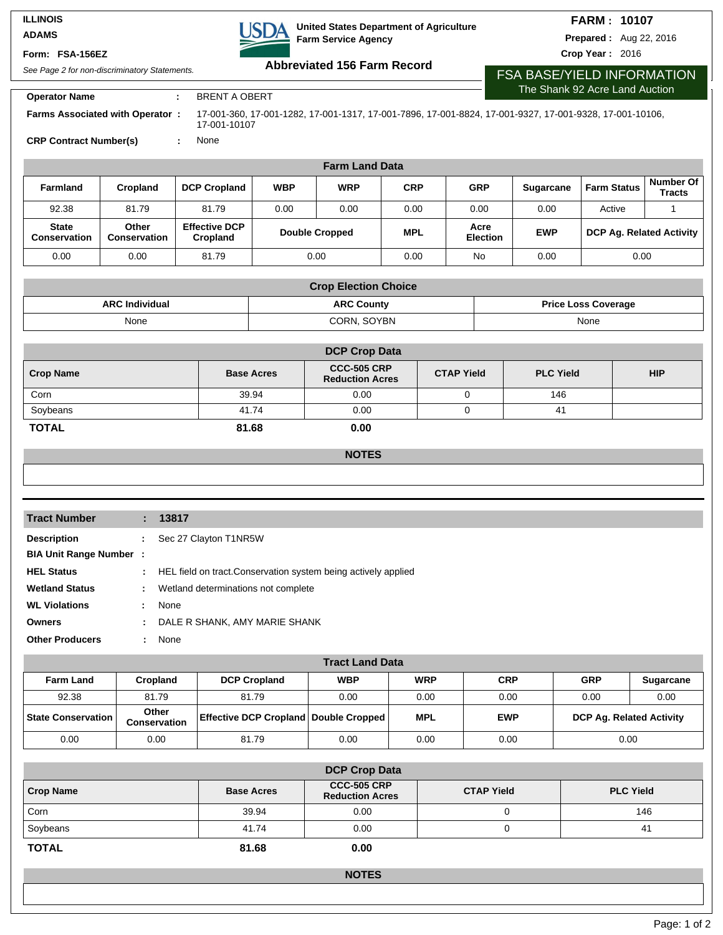### **ILLINOIS ADAMS**

### **Form: FSA-156EZ**

**United States Department of Agriculture USDA Farm Service Agency**

## **FARM : 10107**

**Prepared :** Aug 22, 2016

**Crop Year :** 2016

See Page 2 for non-discriminatory Statements. **Abbreviated 156 Farm Record Operator Name : BRENT A OBERT** 17-001-360, 17-001-1282, 17-001-1317, 17-001-7896, 17-001-8824, 17-001-9327, 17-001-9328, 17-001-10106,

17-001-10107

FSA BASE/YIELD INFORMATION The Shank 92 Acre Land Auction

**Farms Associated with Operator :**

**CRP Contract Number(s) :** None

| <b>Farm Land Data</b>               |                       |                                  |                       |            |            |                         |            |                                 |                                   |
|-------------------------------------|-----------------------|----------------------------------|-----------------------|------------|------------|-------------------------|------------|---------------------------------|-----------------------------------|
| <b>Farmland</b>                     | Cropland              | <b>DCP Cropland</b>              | <b>WBP</b>            | <b>WRP</b> | <b>CRP</b> | <b>GRP</b>              | Sugarcane  | <b>Farm Status</b>              | <b>Number Of</b><br><b>Tracts</b> |
| 92.38                               | 81.79                 | 81.79                            | 0.00                  | 0.00       | 0.00       | 0.00                    | 0.00       | Active                          |                                   |
| <b>State</b><br><b>Conservation</b> | Other<br>Conservation | <b>Effective DCP</b><br>Cropland | <b>Double Cropped</b> |            | <b>MPL</b> | Acre<br><b>Election</b> | <b>EWP</b> | <b>DCP Ag. Related Activity</b> |                                   |
| 0.00                                | 0.00                  | 81.79                            | 0.00                  |            | 0.00       | No                      | 0.00       | 0.00                            |                                   |

| <b>Crop Election Choice</b>                                              |             |      |  |  |  |  |
|--------------------------------------------------------------------------|-------------|------|--|--|--|--|
| <b>ARC County</b><br><b>ARC Individual</b><br><b>Price Loss Coverage</b> |             |      |  |  |  |  |
| None                                                                     | CORN. SOYBN | None |  |  |  |  |

| <b>DCP Crop Data</b> |                   |                                              |                   |                  |            |  |  |
|----------------------|-------------------|----------------------------------------------|-------------------|------------------|------------|--|--|
| <b>Crop Name</b>     | <b>Base Acres</b> | <b>CCC-505 CRP</b><br><b>Reduction Acres</b> | <b>CTAP Yield</b> | <b>PLC Yield</b> | <b>HIP</b> |  |  |
| Corn                 | 39.94             | 0.00                                         |                   | 146              |            |  |  |
| Soybeans             | 41.74             | 0.00                                         |                   | 41               |            |  |  |
| <b>TOTAL</b>         | 81.68             | 0.00                                         |                   |                  |            |  |  |

**NOTES**

| <b>Tract Number</b>           |   | : 13817                                                          |
|-------------------------------|---|------------------------------------------------------------------|
|                               |   |                                                                  |
| <b>Description</b>            | ÷ | Sec 27 Clayton T1NR5W                                            |
| <b>BIA Unit Range Number:</b> |   |                                                                  |
| <b>HEL Status</b>             |   | : HEL field on tract. Conservation system being actively applied |
| <b>Wetland Status</b>         | ÷ | Wetland determinations not complete                              |
| <b>WL Violations</b>          | ÷ | None                                                             |
| <b>Owners</b>                 | ÷ | DALE R SHANK, AMY MARIE SHANK                                    |
| <b>Other Producers</b>        |   | : None                                                           |

| <b>Tract Land Data</b> |                       |                                              |            |            |            |            |                                 |  |
|------------------------|-----------------------|----------------------------------------------|------------|------------|------------|------------|---------------------------------|--|
| <b>Farm Land</b>       | Cropland              | <b>DCP Cropland</b>                          | <b>WBP</b> | <b>WRP</b> | <b>CRP</b> | <b>GRP</b> | <b>Sugarcane</b>                |  |
| 92.38                  | 81.79                 | 81.79                                        | 0.00       | 0.00       | 0.00       | 0.00       | 0.00                            |  |
| State Conservation     | Other<br>Conservation | <b>Effective DCP Cropland Double Cropped</b> |            | <b>MPL</b> | <b>EWP</b> |            | <b>DCP Ag. Related Activity</b> |  |
| 0.00                   | 0.00                  | 81.79                                        | 0.00       | 0.00       | 0.00       | 0.00       |                                 |  |

| <b>DCP Crop Data</b> |                   |                                              |                   |                  |  |  |  |
|----------------------|-------------------|----------------------------------------------|-------------------|------------------|--|--|--|
| <b>Crop Name</b>     | <b>Base Acres</b> | <b>CCC-505 CRP</b><br><b>Reduction Acres</b> | <b>CTAP Yield</b> | <b>PLC Yield</b> |  |  |  |
| Corn                 | 39.94             | 0.00                                         |                   | 146              |  |  |  |
| Soybeans             | 41.74             | 0.00                                         |                   | 41               |  |  |  |
| <b>TOTAL</b>         | 81.68             | 0.00                                         |                   |                  |  |  |  |

**NOTES**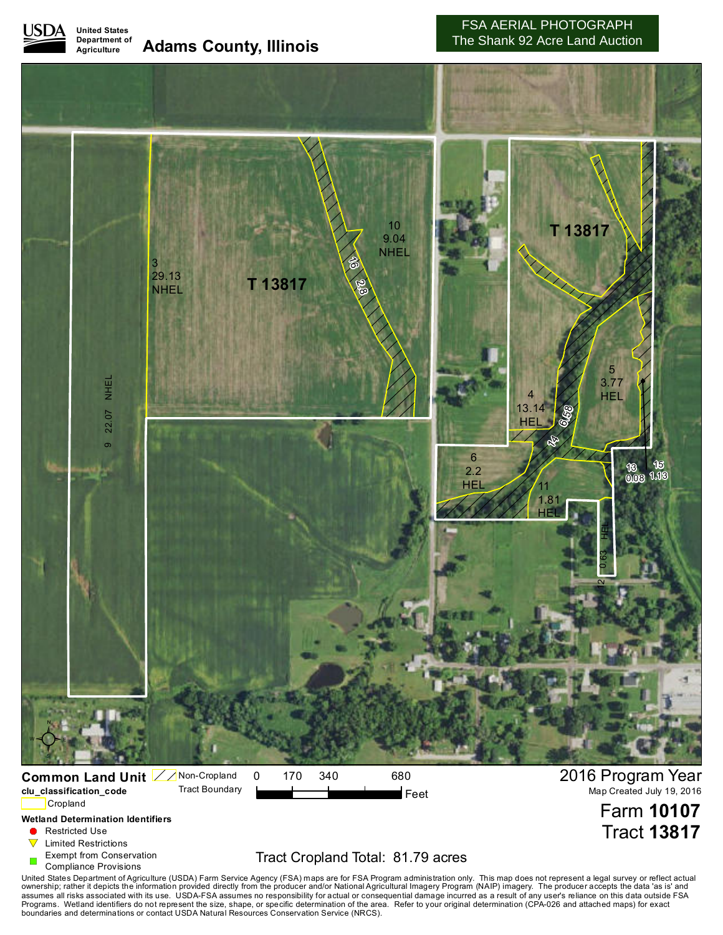

#### **United States Department of Agriculture Adams County, Illinois**

## FSA AERIAL PHOTOGRAPH The Shank 92 Acre Land Auction

Tract **13817**



**Wetland Determination Identifiers**

- Restricted Use
- $\triangledown$ Limited Restrictions
- Exempt from Conservation
- Compliance Provisions

# Tract Cropland Total: 81.79 acres

United States Department of Agriculture (USDA) Farm Service Agency (FSA) maps are for FSA Program administration only. This map does not represent a legal survey or reflect actual<br>ownership; rather it depicts the informati boundaries and determinations or contact USDA Natural Resources Conservation Service (NRCS).